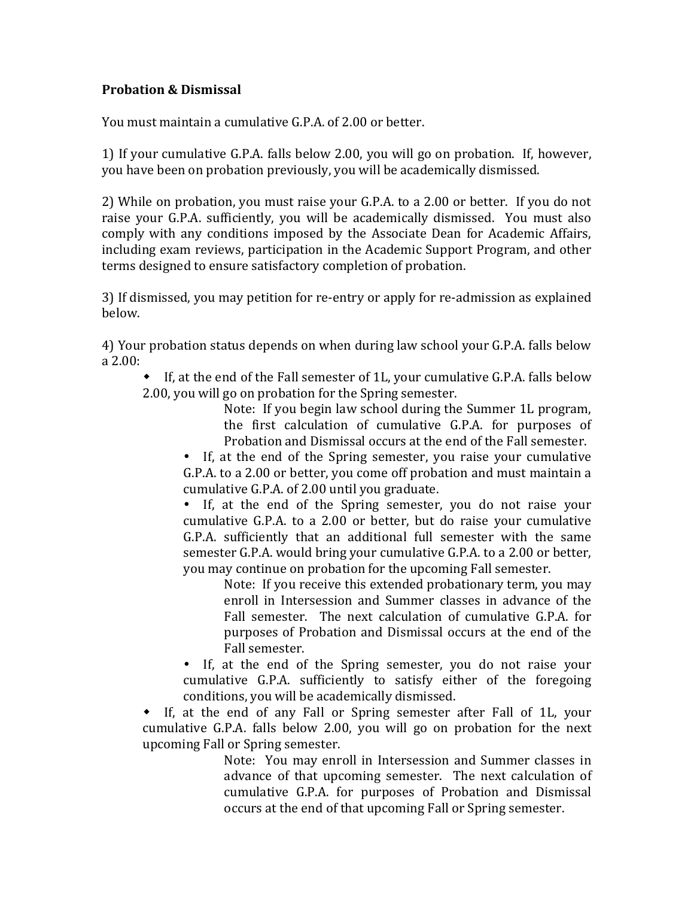## **Probation & Dismissal**

You must maintain a cumulative G.P.A. of 2.00 or better.

1) If your cumulative G.P.A. falls below 2.00, you will go on probation. If, however, you have been on probation previously, you will be academically dismissed.

2) While on probation, you must raise your G.P.A. to a 2.00 or better. If you do not raise your G.P.A. sufficiently, you will be academically dismissed. You must also comply with any conditions imposed by the Associate Dean for Academic Affairs, including exam reviews, participation in the Academic Support Program, and other terms designed to ensure satisfactory completion of probation.

3) If dismissed, you may petition for re-entry or apply for re-admission as explained below.

4) Your probation status depends on when during law school your G.P.A. falls below a 2.00:

 If, at the end of the Fall semester of 1L, your cumulative G.P.A. falls below 2.00, you will go on probation for the Spring semester.

Note: If you begin law school during the Summer 1L program, the first calculation of cumulative G.P.A. for purposes of Probation and Dismissal occurs at the end of the Fall semester.

 If, at the end of the Spring semester, you raise your cumulative G.P.A. to a 2.00 or better, you come off probation and must maintain a cumulative G.P.A. of 2.00 until you graduate.

 If, at the end of the Spring semester, you do not raise your cumulative G.P.A. to a 2.00 or better, but do raise your cumulative G.P.A. sufficiently that an additional full semester with the same semester G.P.A. would bring your cumulative G.P.A. to a 2.00 or better, you may continue on probation for the upcoming Fall semester.

Note: If you receive this extended probationary term, you may enroll in Intersession and Summer classes in advance of the Fall semester. The next calculation of cumulative G.P.A. for purposes of Probation and Dismissal occurs at the end of the Fall semester.

 If, at the end of the Spring semester, you do not raise your cumulative G.P.A. sufficiently to satisfy either of the foregoing conditions, you will be academically dismissed.

 If, at the end of any Fall or Spring semester after Fall of 1L, your cumulative G.P.A. falls below 2.00, you will go on probation for the next upcoming Fall or Spring semester.

Note: You may enroll in Intersession and Summer classes in advance of that upcoming semester. The next calculation of cumulative G.P.A. for purposes of Probation and Dismissal occurs at the end of that upcoming Fall or Spring semester.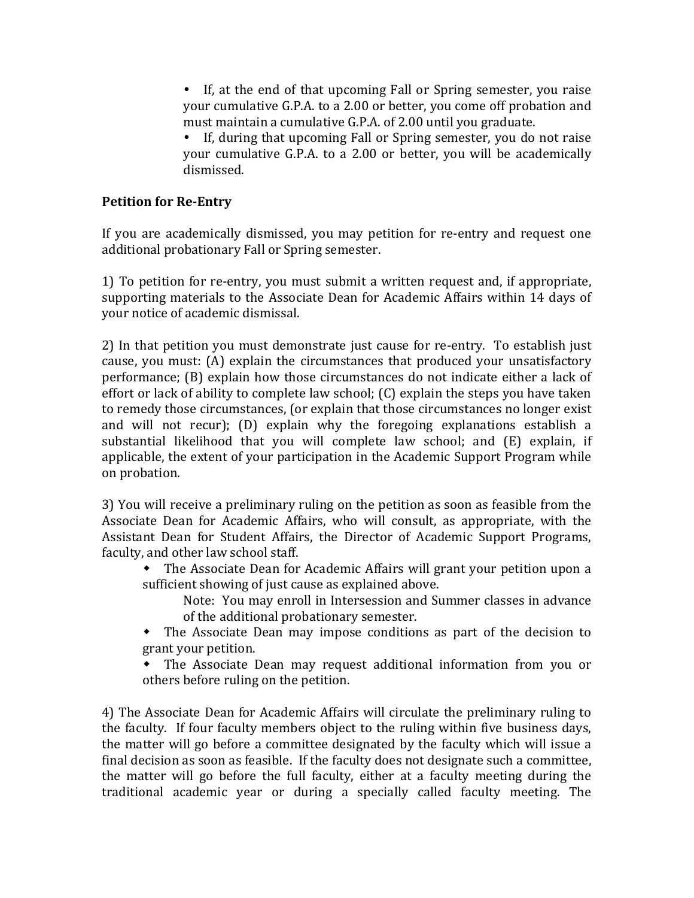If, at the end of that upcoming Fall or Spring semester, you raise your cumulative G.P.A. to a 2.00 or better, you come off probation and must maintain a cumulative G.P.A. of 2.00 until you graduate.

 If, during that upcoming Fall or Spring semester, you do not raise your cumulative G.P.A. to a 2.00 or better, you will be academically dismissed.

## **Petition for Re-Entry**

If you are academically dismissed, you may petition for re-entry and request one additional probationary Fall or Spring semester.

1) To petition for re-entry, you must submit a written request and, if appropriate, supporting materials to the Associate Dean for Academic Affairs within 14 days of your notice of academic dismissal.

2) In that petition you must demonstrate just cause for re-entry. To establish just cause, you must: (A) explain the circumstances that produced your unsatisfactory performance; (B) explain how those circumstances do not indicate either a lack of effort or lack of ability to complete law school; (C) explain the steps you have taken to remedy those circumstances, (or explain that those circumstances no longer exist and will not recur); (D) explain why the foregoing explanations establish a substantial likelihood that you will complete law school; and (E) explain, if applicable, the extent of your participation in the Academic Support Program while on probation.

3) You will receive a preliminary ruling on the petition as soon as feasible from the Associate Dean for Academic Affairs, who will consult, as appropriate, with the Assistant Dean for Student Affairs, the Director of Academic Support Programs, faculty, and other law school staff.

- The Associate Dean for Academic Affairs will grant your petition upon a sufficient showing of just cause as explained above.
	- Note: You may enroll in Intersession and Summer classes in advance of the additional probationary semester.
- The Associate Dean may impose conditions as part of the decision to grant your petition.
- The Associate Dean may request additional information from you or others before ruling on the petition.

4) The Associate Dean for Academic Affairs will circulate the preliminary ruling to the faculty. If four faculty members object to the ruling within five business days, the matter will go before a committee designated by the faculty which will issue a final decision as soon as feasible. If the faculty does not designate such a committee, the matter will go before the full faculty, either at a faculty meeting during the traditional academic year or during a specially called faculty meeting. The